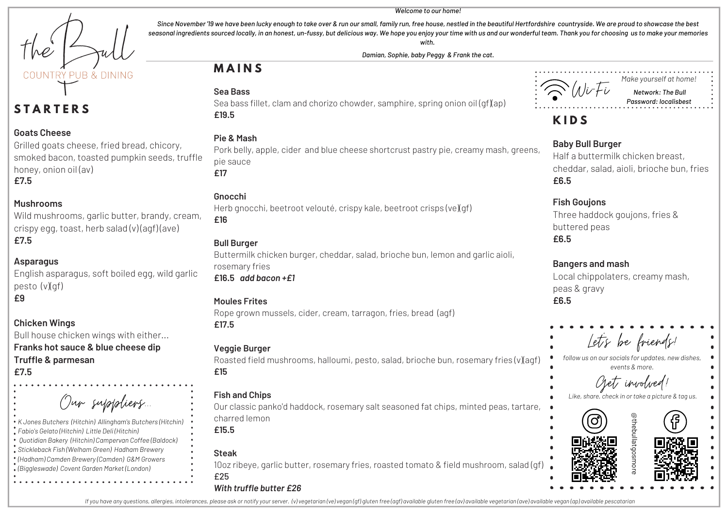INTRY PUR & DINING

## **S T A R T E R S**

#### **Goats Cheese**

Grilled goats cheese, fried bread, chicory, smoked bacon, toasted pumpkin seeds, truffle honey, onion oil (av) **£7.5**

#### **Mushrooms**

Wild mushrooms, garlic butter, brandy, cream, crispy egg, toast, herb salad (v) (agf) (ave) **£7.5**

#### **Asparagus**

English asparagus, soft boiled egg, wild garlic pesto (v)(qf) **£9**

#### **Chicken Wings**

Bull house chicken wings with either...

**Franks hot sauce & blue cheese dip Truffle & parmesan £7.5**

Our suppliers...

*K Jones Butchers (Hitchin) Allingham's Butchers (Hitchin) Fabio's Gelato (Hitchin) Little Deli (Hitchin) Quotidian Bakery (Hitchin) Campervan Coffee (Baldock) Stickleback Fish (Welham Green) Hadham Brewery (Hadham) Camden Brewery (Camden) G&M Growers (Biggleswade) Covent Garden Market (London)*

## **M A I N S**

#### **Sea Bass**



*Make yourself at home! Network: The Bull Password: localisbest*

## **K I D S**

#### **Baby Bull Burger**

Half a buttermilk chicken breast, cheddar, salad, aioli, brioche bun, fries **£6.5**

#### **Fish Goujons**

Three haddock goujons, fries & buttered peas **£6.5**

#### **Bangers and mash**

Local chippolaters, creamy mash, peas & gravy **£6.5**

# Let's be friends!

*follow us on our socials for updates, new dishes, events & more.*







Sea bass fillet, clam and chorizo chowder, samphire, spring onion oil (qf)(ap) **£19.5**

#### **Pie & Mash**

Pork belly, apple, cider and blue cheese shortcrust pastry pie, creamy mash, greens, pie sauce **£17**

#### **Gnocchi**

Herb gnocchi, beetroot velouté, crispy kale, beetroot crisps (ve)(qf) **£16**

#### **Bull Burger**

Buttermilk chicken burger, cheddar, salad, brioche bun, lemon and garlic aioli, rosemary fries **£16.5** *add bacon +£1*

#### **Moules Frites**

Rope grown mussels, cider, cream, tarragon, fries, bread (agf) **£17.5**

#### **Veggie Burger**

Roasted field mushrooms, halloumi, pesto, salad, brioche bun, rosemary fries (v)(agf) **£15**

#### **Fish and Chips**

Our classic panko'd haddock, rosemary salt seasoned fat chips, minted peas, tartare, charred lemon

**£15.5**

#### **Steak**

10oz ribeye, garlic butter, rosemary fries, roasted tomato & field mushroom, salad (gf) £25

#### *With truffle butter £26*

If you have any questions, allergies, intolerances, please ask or notify your server. (y) yegetarian (ye) yegan (af) gluten free (gaf) gyailable eduten free (gy) gyailable yegetarian (gye) gyailable yegan (gp) gyailable pe

#### *Welcome to our home!* Since November '19 we have been lucky enough to take over & run our small, family run, free house, nestled in the beautiful Hertfordshire countryside. We are proud to showcase the best

seasonal ingredients sourced locally, in an honest, un-fussy, but delicious way. We hope you enjoy your time with us and our wonderful team. Thank you for choosing us to make your memories *with. Damian, Sophie, baby Peggy & Frank the cat.*